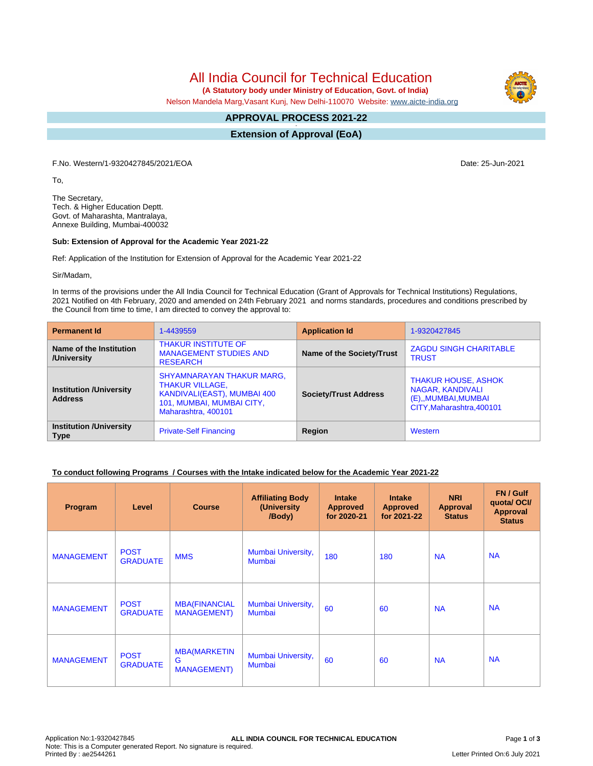All India Council for Technical Education

 **(A Statutory body under Ministry of Education, Govt. of India)**

Nelson Mandela Marg,Vasant Kunj, New Delhi-110070 Website: [www.aicte-india.org](http://www.aicte-india.org)

#### **APPROVAL PROCESS 2021-22 -**

**Extension of Approval (EoA)**

F.No. Western/1-9320427845/2021/EOA Date: 25-Jun-2021

To,

The Secretary, Tech. & Higher Education Deptt. Govt. of Maharashta, Mantralaya, Annexe Building, Mumbai-400032

#### **Sub: Extension of Approval for the Academic Year 2021-22**

Ref: Application of the Institution for Extension of Approval for the Academic Year 2021-22

Sir/Madam,

In terms of the provisions under the All India Council for Technical Education (Grant of Approvals for Technical Institutions) Regulations, 2021 Notified on 4th February, 2020 and amended on 24th February 2021 and norms standards, procedures and conditions prescribed by the Council from time to time, I am directed to convey the approval to:

| <b>Permanent Id</b>                              | 1-4439559                                                                                                                                     | <b>Application Id</b>        | 1-9320427845                                                                                        |  |
|--------------------------------------------------|-----------------------------------------------------------------------------------------------------------------------------------------------|------------------------------|-----------------------------------------------------------------------------------------------------|--|
| Name of the Institution<br>/University           | <b>THAKUR INSTITUTE OF</b><br><b>MANAGEMENT STUDIES AND</b><br><b>RESEARCH</b>                                                                | Name of the Society/Trust    | <b>ZAGDU SINGH CHARITABLE</b><br><b>TRUST</b>                                                       |  |
| <b>Institution /University</b><br><b>Address</b> | <b>SHYAMNARAYAN THAKUR MARG,</b><br><b>THAKUR VILLAGE,</b><br>KANDIVALI(EAST), MUMBAI 400<br>101, MUMBAI, MUMBAI CITY,<br>Maharashtra, 400101 | <b>Society/Trust Address</b> | <b>THAKUR HOUSE, ASHOK</b><br>NAGAR, KANDIVALI<br>(E),, MUMBAI, MUMBAI<br>CITY, Maharashtra, 400101 |  |
| <b>Institution /University</b><br><b>Type</b>    | <b>Private-Self Financing</b>                                                                                                                 | Region                       | Western                                                                                             |  |

### **To conduct following Programs / Courses with the Intake indicated below for the Academic Year 2021-22**

| Program           | Level                          | <b>Course</b>                                   | <b>Affiliating Body</b><br>(University<br>/Body) | <b>Intake</b><br><b>Approved</b><br>for 2020-21 | <b>Intake</b><br><b>Approved</b><br>for 2021-22 | <b>NRI</b><br><b>Approval</b><br><b>Status</b> | FN / Gulf<br>quota/OCI/<br><b>Approval</b><br><b>Status</b> |
|-------------------|--------------------------------|-------------------------------------------------|--------------------------------------------------|-------------------------------------------------|-------------------------------------------------|------------------------------------------------|-------------------------------------------------------------|
| <b>MANAGEMENT</b> | <b>POST</b><br><b>GRADUATE</b> | <b>MMS</b>                                      | Mumbai University,<br>Mumbai                     | 180                                             | 180                                             | <b>NA</b>                                      | <b>NA</b>                                                   |
| <b>MANAGEMENT</b> | <b>POST</b><br><b>GRADUATE</b> | <b>MBA(FINANCIAL</b><br><b>MANAGEMENT</b> )     | Mumbai University,<br>Mumbai                     | 60                                              | 60                                              | <b>NA</b>                                      | <b>NA</b>                                                   |
| <b>MANAGEMENT</b> | <b>POST</b><br><b>GRADUATE</b> | <b>MBA(MARKETIN</b><br>G<br><b>MANAGEMENT</b> ) | Mumbai University,<br><b>Mumbai</b>              | 60                                              | 60                                              | <b>NA</b>                                      | <b>NA</b>                                                   |

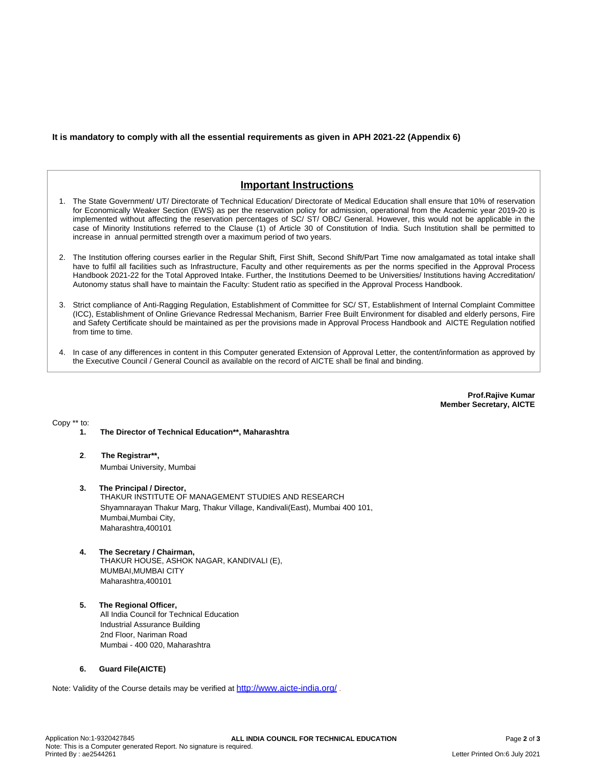## **It is mandatory to comply with all the essential requirements as given in APH 2021-22 (Appendix 6)**

# **Important Instructions**

- 1. The State Government/ UT/ Directorate of Technical Education/ Directorate of Medical Education shall ensure that 10% of reservation for Economically Weaker Section (EWS) as per the reservation policy for admission, operational from the Academic year 2019-20 is implemented without affecting the reservation percentages of SC/ ST/ OBC/ General. However, this would not be applicable in the case of Minority Institutions referred to the Clause (1) of Article 30 of Constitution of India. Such Institution shall be permitted to increase in annual permitted strength over a maximum period of two years.
- 2. The Institution offering courses earlier in the Regular Shift, First Shift, Second Shift/Part Time now amalgamated as total intake shall have to fulfil all facilities such as Infrastructure, Faculty and other requirements as per the norms specified in the Approval Process Handbook 2021-22 for the Total Approved Intake. Further, the Institutions Deemed to be Universities/ Institutions having Accreditation/ Autonomy status shall have to maintain the Faculty: Student ratio as specified in the Approval Process Handbook.
- 3. Strict compliance of Anti-Ragging Regulation, Establishment of Committee for SC/ ST, Establishment of Internal Complaint Committee (ICC), Establishment of Online Grievance Redressal Mechanism, Barrier Free Built Environment for disabled and elderly persons, Fire and Safety Certificate should be maintained as per the provisions made in Approval Process Handbook and AICTE Regulation notified from time to time.
- 4. In case of any differences in content in this Computer generated Extension of Approval Letter, the content/information as approved by the Executive Council / General Council as available on the record of AICTE shall be final and binding.

**Prof.Rajive Kumar Member Secretary, AICTE**

Copy \*\* to:

- **1. The Director of Technical Education\*\*, Maharashtra**
- **2**. **The Registrar\*\*,** Mumbai University, Mumbai
- **3. The Principal / Director,** THAKUR INSTITUTE OF MANAGEMENT STUDIES AND RESEARCH Shyamnarayan Thakur Marg, Thakur Village, Kandivali(East), Mumbai 400 101, Mumbai,Mumbai City, Maharashtra,400101
- **4. The Secretary / Chairman,** THAKUR HOUSE, ASHOK NAGAR, KANDIVALI (E), MUMBAI,MUMBAI CITY Maharashtra,400101
- **5. The Regional Officer,** All India Council for Technical Education Industrial Assurance Building 2nd Floor, Nariman Road Mumbai - 400 020, Maharashtra

### **6. Guard File(AICTE)**

Note: Validity of the Course details may be verified at <http://www.aicte-india.org/> **.**